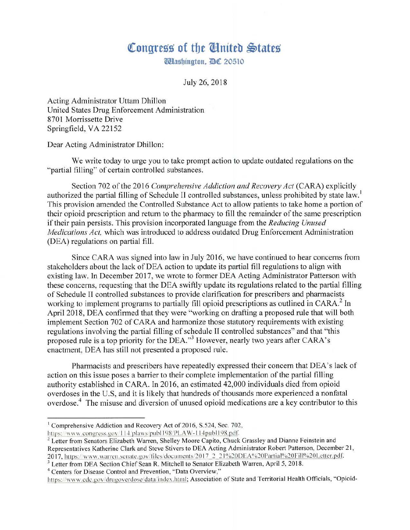## **Congress of the** *Congress*

*Mashington, <sup>DC</sup>* 20510

July 26, 2018

Acting Administrator Uttam Dhillon United States Drug Enforcement Administration 8701 Morrissette Drive Springfield, VA 22152

Dear Acting Administrator Dhillon:

We write today to urge you to take prompt action to update outdated regulations on the "partial filling" of certain controlled substances.

Section 702 of the 2016 *Comprehensive Addiction and Recovery Act* (CARA) explicitly authorized the partial filling of Schedule II controlled substances, unless prohibited by state law.<sup>1</sup> This provision amended the Controlled Substance Act to allow patients to take home a portion of their opioid prescription and return to the pharmacy to fill the remainder of the same prescription if their pain persists. This provision incorporated language from the *Reducing Unused Medications Act,* which was introduced to address outdated Drug Enforcement Administration (DEA) regulations on partial fill.

Since CARA was signed into law in July 2016, we have continued to hear concerns from stakeholders about the Jack of DEA action to update its partial fill regulations to align with existing law. In December 2017, we wrote to former DEA Acting Administrator Patterson with these concerns, requesting that the DEA swiftly update its regulations related to the partial filling of Schedule II controlled substances to provide clarification for prescribers and pharmacists working to implement programs to partially fill opioid prescriptions as outlined in CARA.<sup>2</sup> In April 2018, DEA confinned that they were "working on drafting a proposed rule that will both implement Section 702 of CARA and harmonize those statutory requirements with existing regulations involving the partial filling of schedule II controlled substances" and that "this proposed rule is a top priority for the DEA."<sup>3</sup> However, nearly two years after CARA's enactment, DEA has still not presented a proposed rule.

Pharmacists and prescribers have repeatedly expressed their concern that DEA's lack of action on this issue poses a barrier to their complete implementation of the partial filling authority established in CARA. In 2016, an estimated 42,000 individuals died from opioid overdoses in the U.S, and it is likely that hundreds of thousands more experienced a nonfatal overdose.<sup>4</sup> The misuse and diversion of unused opioid medications are a key contributor to this

<sup>&</sup>lt;sup>1</sup> Comprehensive Addiction and Recovery Act of 2016, S.524, Sec. 702,

https://www.congress.gov/114/plaws/publ198/PLAW-114publ198.pdf.<br><sup>2</sup> Letter from Senators Elizabeth Warren, Shelley Moore Capito, Chuck Grassley and Dianne Feinstein and Representatives Katherine Clark and Steve Stivers to DEA Acting Administrator Robert Patterson, December 21, 2017, https://www.warren.senate.gov/files/documents/2017\_2\_21%20DEA%20Partial%20Fill%20Letter.pdf.<br><sup>3</sup> Letter from DEA Section Chief Sean R. Mitchell to Senator Elizabeth Warren, April 5, 2018.

<sup>&</sup>lt;sup>4</sup> Centers for Disease Control and Prevention, "Data Overview,"

https://www.cdc.gov/drugoverdose/data/index.html; Association of State and Territorial Health Officials, "Opioid-